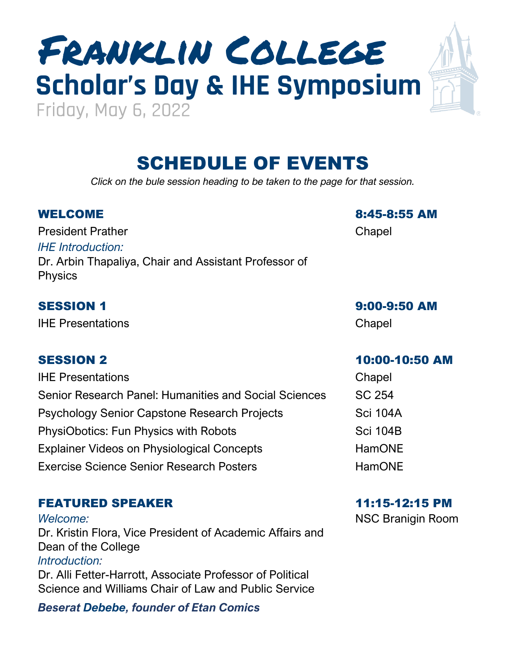# **Scholar's Day & IHE Symposium** Franklin College

# SCHEDULE OF EVENTS

*Click on the bule session heading to be taken to the page for that session.*

President Prather Chapel *IHE Introduction:* Dr. Arbin Thapaliya, Chair and Assistant Professor of Physics

IHE Presentations Chapel

IHE Presentations Chapel Senior Research Panel: Humanities and Social Sciences SC 254 Psychology Senior Capstone Research Projects Sci 104A PhysiObotics: Fun Physics with Robots **Sci 104B** Sci 104B Explainer Videos on Physiological Concepts FamONE Exercise Science Senior Research Posters **Exercise** HamONE

### [FEATURED SPEAKER](#page-2-0) 11:15-12:15 PM

*Welcome:* Dr. Kristin Flora, Vice President of Academic Affairs and Dean of the College *Introduction:* Dr. Alli Fetter-Harrott, Associate Professor of Political Science and Williams Chair of Law and Public Service

*Beserat Debebe, founder of Etan Comics*

WELCOME 8:45-8:55 AM

SESSION 1 [9:00-9:50 AM](#page-3-0)

#### SESSION 2 [10:00-10:50 AM](#page-3-0)

NSC Branigin Room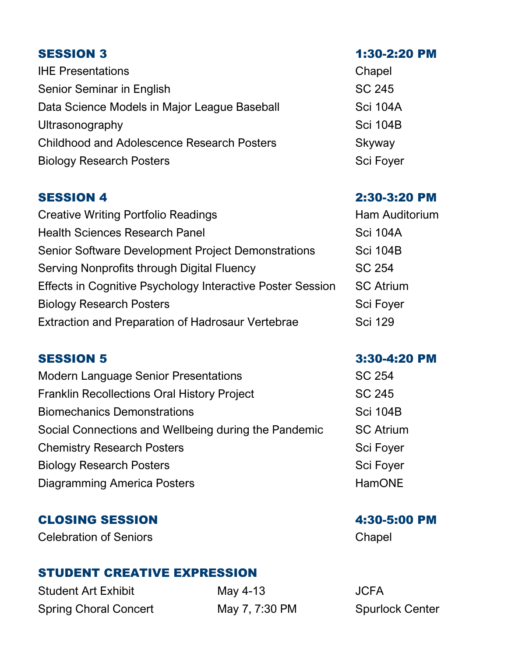IHE Presentations Chapel Senior Seminar in English School and School School School School School School School School School School School School School School School School School School School School School School School School School School Sch Data Science Models in Major League Baseball Sci 104A Ultrasonography Sci 104B Childhood and Adolescence Research Posters Skyway Biology Research Posters Sci Foyer Sci Foyer

Creative Writing Portfolio Readings **Example 20** Ham Auditorium Health Sciences Research Panel Sciences Research Panel Sci 104A Senior Software Development Project Demonstrations Sci 104B Serving Nonprofits through Digital Fluency SC 254 Effects in Cognitive Psychology Interactive Poster Session SC Atrium Biology Research Posters Sci Foyer Sci Foyer Extraction and Preparation of Hadrosaur Vertebrae Sci 129

Modern Language Senior Presentations **SC 254** Franklin Recollections Oral History Project SC 245 Biomechanics Demonstrations Sci 104B Social Connections and Wellbeing during the Pandemic SC Atrium Chemistry Research Posters Sci Foyer Sci Foyer Biology Research Posters Sci Foyer Diagramming America Posters **HamONE** 

### CLOSING SESSION 4:30-5:00 PM

Celebration of Seniors **Chapel** Chapel

### [STUDENT CREATIVE EXPRESSION](#page-10-0)

Student Art Exhibit May 4-13 JCFA Spring Choral Concert May 7, 7:30 PM Spurlock Center

#### [SESSION 3](#page-5-0) 1:30-2:20 PM

#### [SESSION 4](#page-6-0) 2:30-3:20 PM

#### [SESSION 5](#page-8-0) 3:30-4:20 PM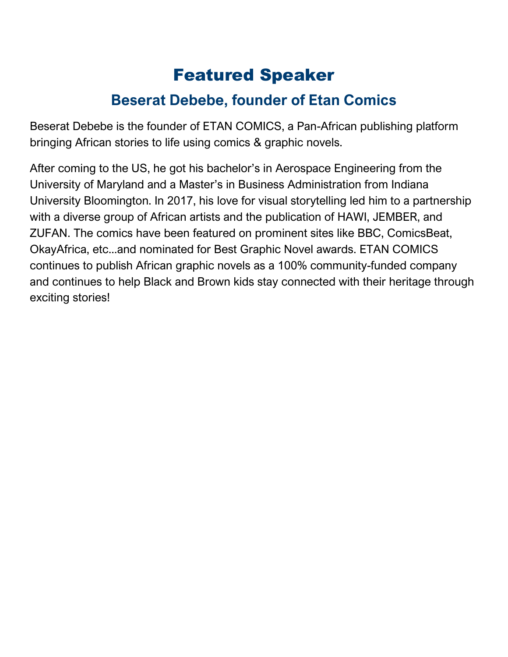# Featured Speaker

### **Beserat Debebe, founder of Etan Comics**

<span id="page-2-0"></span>Beserat Debebe is the founder of ETAN COMICS, a Pan-African publishing platform bringing African stories to life using comics & graphic novels.

After coming to the US, he got his bachelor's in Aerospace Engineering from the University of Maryland and a Master's in Business Administration from Indiana University Bloomington. In 2017, his love for visual storytelling led him to a partnership with a diverse group of African artists and the publication of HAWI, JEMBER, and ZUFAN. The comics have been featured on prominent sites like BBC, ComicsBeat, OkayAfrica, etc...and nominated for Best Graphic Novel awards. ETAN COMICS continues to publish African graphic novels as a 100% community-funded company and continues to help Black and Brown kids stay connected with their heritage through exciting stories!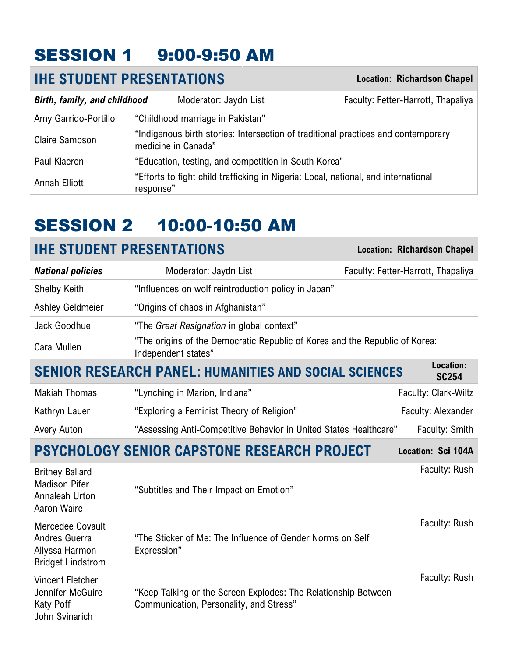# <span id="page-3-0"></span>SESSION 1 9:00-9:50 AM

### **IHE STUDENT PRESENTATIONS Location: Richardson Chapel**

| Birth, family, and childhood |           | Moderator: Jaydn List                                                                                    | Faculty: Fetter-Harrott, Thapaliya |
|------------------------------|-----------|----------------------------------------------------------------------------------------------------------|------------------------------------|
| Amy Garrido-Portillo         |           | "Childhood marriage in Pakistan"                                                                         |                                    |
| Claire Sampson               |           | "Indigenous birth stories: Intersection of traditional practices and contemporary<br>medicine in Canada" |                                    |
| Paul Klaeren                 |           | "Education, testing, and competition in South Korea"                                                     |                                    |
| Annah Elliott                | response" | "Efforts to fight child trafficking in Nigeria: Local, national, and international                       |                                    |

# SESSION 2 10:00-10:50 AM

| <b>IHE STUDENT PRESENTATIONS</b>                                                  |                                                                                                           | <b>Location: Richardson Chapel</b> |
|-----------------------------------------------------------------------------------|-----------------------------------------------------------------------------------------------------------|------------------------------------|
| <b>National policies</b>                                                          | Moderator: Jaydn List                                                                                     | Faculty: Fetter-Harrott, Thapaliya |
| <b>Shelby Keith</b>                                                               | "Influences on wolf reintroduction policy in Japan"                                                       |                                    |
| <b>Ashley Geldmeier</b>                                                           | "Origins of chaos in Afghanistan"                                                                         |                                    |
| Jack Goodhue                                                                      | "The Great Resignation in global context"                                                                 |                                    |
| Cara Mullen                                                                       | "The origins of the Democratic Republic of Korea and the Republic of Korea:<br>Independent states"        |                                    |
|                                                                                   | <b>SENIOR RESEARCH PANEL: HUMANITIES AND SOCIAL SCIENCES</b>                                              | Location:<br><b>SC254</b>          |
| <b>Makiah Thomas</b>                                                              | "Lynching in Marion, Indiana"                                                                             | Faculty: Clark-Wiltz               |
| Kathryn Lauer                                                                     | "Exploring a Feminist Theory of Religion"                                                                 | Faculty: Alexander                 |
| Avery Auton                                                                       | "Assessing Anti-Competitive Behavior in United States Healthcare"                                         | Faculty: Smith                     |
|                                                                                   | <b>PSYCHOLOGY SENIOR CAPSTONE RESEARCH PROJECT</b>                                                        | Location: Sci 104A                 |
| <b>Britney Ballard</b><br><b>Madison Pifer</b><br>Annaleah Urton<br>Aaron Waire   | "Subtitles and Their Impact on Emotion"                                                                   | Faculty: Rush                      |
| Mercedee Covault<br>Andres Guerra<br>Allyssa Harmon<br><b>Bridget Lindstrom</b>   | "The Sticker of Me: The Influence of Gender Norms on Self<br>Expression"                                  | Faculty: Rush                      |
| <b>Vincent Fletcher</b><br>Jennifer McGuire<br><b>Katy Poff</b><br>John Svinarich | "Keep Talking or the Screen Explodes: The Relationship Between<br>Communication, Personality, and Stress" | Faculty: Rush                      |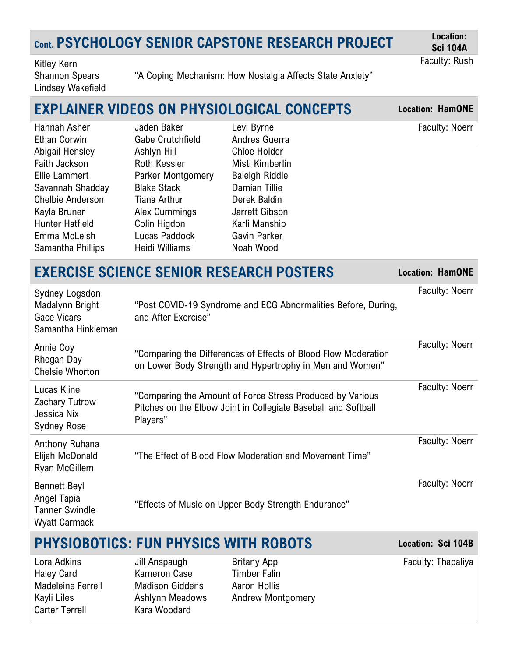# **Cont. PSYCHOLOGY SENIOR CAPSTONE RESEARCH PROJECT Location:**

**Sci 104A** Faculty: Rush

Kitley Kern Shannon Spears Lindsey Wakefield

"A Coping Mechanism: How Nostalgia Affects State Anxiety"

## **EXPLAINER VIDEOS ON PHYSIOLOGICAL CONCEPTS Location: HamONE**

| Hannah Asher            | Jaden Baker        | Levi Byrne            | Faculty: Noerr |
|-------------------------|--------------------|-----------------------|----------------|
| Ethan Corwin            | Gabe Crutchfield   | Andres Guerra         |                |
| Abigail Hensley         | Ashlyn Hill        | <b>Chloe Holder</b>   |                |
| Faith Jackson           | Roth Kessler       | Misti Kimberlin       |                |
| Ellie Lammert           | Parker Montgomery  | <b>Baleigh Riddle</b> |                |
| Savannah Shadday        | <b>Blake Stack</b> | Damian Tillie         |                |
| <b>Chelbie Anderson</b> | Tiana Arthur       | Derek Baldin          |                |
| Kayla Bruner            | Alex Cummings      | Jarrett Gibson        |                |
| Hunter Hatfield         | Colin Higdon       | Karli Manship         |                |
| Emma McLeish            | Lucas Paddock      | Gavin Parker          |                |
| Samantha Phillips       | Heidi Williams     | Noah Wood             |                |

### **EXERCISE SCIENCE SENIOR RESEARCH POSTERS Location: HamONE**

| Sydney Logsdon<br>Madalynn Bright<br><b>Gace Vicars</b><br>Samantha Hinkleman       | "Post COVID-19 Syndrome and ECG Abnormalities Before, During,<br>and After Exercise"                                                    | <b>Faculty: Noerr</b> |
|-------------------------------------------------------------------------------------|-----------------------------------------------------------------------------------------------------------------------------------------|-----------------------|
| Annie Coy<br>Rhegan Day<br><b>Chelsie Whorton</b>                                   | "Comparing the Differences of Effects of Blood Flow Moderation<br>on Lower Body Strength and Hypertrophy in Men and Women"              | <b>Faculty: Noerr</b> |
| Lucas Kline<br>Zachary Tutrow<br>Jessica Nix<br><b>Sydney Rose</b>                  | "Comparing the Amount of Force Stress Produced by Various<br>Pitches on the Elbow Joint in Collegiate Baseball and Softball<br>Players" | <b>Faculty: Noerr</b> |
| Anthony Ruhana<br>Elijah McDonald<br><b>Ryan McGillem</b>                           | "The Effect of Blood Flow Moderation and Movement Time"                                                                                 | <b>Faculty: Noerr</b> |
| <b>Bennett Beyl</b><br>Angel Tapia<br><b>Tanner Swindle</b><br><b>Wyatt Carmack</b> | "Effects of Music on Upper Body Strength Endurance"                                                                                     | Faculty: Noerr        |
|                                                                                     |                                                                                                                                         |                       |

### **PHYSIOBOTICS: FUN PHYSICS WITH ROBOTS Location: Sci 104B**

Carter Terrell Kara Woodard

Haley Card **Kameron Case** Timber Falin Madeleine Ferrell Madison Giddens Aaron Hollis

Lora Adkins **III** Jill Anspaugh Britany App **Faculty: Thapaliya** Britany App **Faculty: Thapaliya** Kayli Liles **Ashlynn Meadows** Andrew Montgomery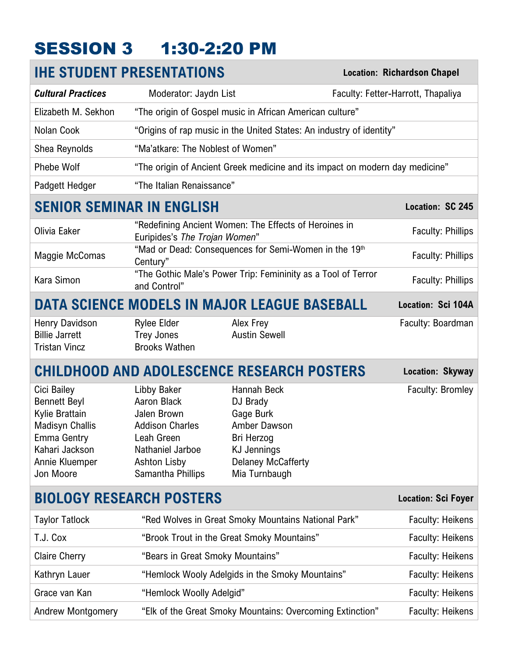# <span id="page-5-0"></span>SESSION 3 1:30-2:20 PM

|                                                                                                                                                       | <b>IHE STUDENT PRESENTATIONS</b>                                                                                                                  |                                                                                                                                        | <b>Location: Richardson Chapel</b> |
|-------------------------------------------------------------------------------------------------------------------------------------------------------|---------------------------------------------------------------------------------------------------------------------------------------------------|----------------------------------------------------------------------------------------------------------------------------------------|------------------------------------|
| <b>Cultural Practices</b>                                                                                                                             | Moderator: Jaydn List                                                                                                                             |                                                                                                                                        | Faculty: Fetter-Harrott, Thapaliya |
| Elizabeth M. Sekhon                                                                                                                                   |                                                                                                                                                   | "The origin of Gospel music in African American culture"                                                                               |                                    |
| Nolan Cook                                                                                                                                            |                                                                                                                                                   | "Origins of rap music in the United States: An industry of identity"                                                                   |                                    |
| Shea Reynolds                                                                                                                                         | "Ma'atkare: The Noblest of Women"                                                                                                                 |                                                                                                                                        |                                    |
| <b>Phebe Wolf</b>                                                                                                                                     |                                                                                                                                                   | "The origin of Ancient Greek medicine and its impact on modern day medicine"                                                           |                                    |
| Padgett Hedger                                                                                                                                        | "The Italian Renaissance"                                                                                                                         |                                                                                                                                        |                                    |
| <b>SENIOR SEMINAR IN ENGLISH</b>                                                                                                                      |                                                                                                                                                   |                                                                                                                                        | Location: SC 245                   |
| Olivia Eaker                                                                                                                                          | Euripides's The Trojan Women"                                                                                                                     | "Redefining Ancient Women: The Effects of Heroines in                                                                                  | <b>Faculty: Phillips</b>           |
| Maggie McComas                                                                                                                                        | Century"                                                                                                                                          | "Mad or Dead: Consequences for Semi-Women in the 19th                                                                                  | <b>Faculty: Phillips</b>           |
| Kara Simon                                                                                                                                            | and Control"                                                                                                                                      | "The Gothic Male's Power Trip: Femininity as a Tool of Terror                                                                          | <b>Faculty: Phillips</b>           |
|                                                                                                                                                       |                                                                                                                                                   | <b>DATA SCIENCE MODELS IN MAJOR LEAGUE BASEBALL</b>                                                                                    | Location: Sci 104A                 |
| Henry Davidson<br><b>Billie Jarrett</b><br><b>Tristan Vincz</b>                                                                                       | <b>Rylee Elder</b><br><b>Trey Jones</b><br><b>Brooks Wathen</b>                                                                                   | Alex Frey<br><b>Austin Sewell</b>                                                                                                      | Faculty: Boardman                  |
|                                                                                                                                                       |                                                                                                                                                   | <b>CHILDHOOD AND ADOLESCENCE RESEARCH POSTERS</b>                                                                                      | Location: Skyway                   |
| Cici Bailey<br><b>Bennett Beyl</b><br>Kylie Brattain<br><b>Madisyn Challis</b><br><b>Emma Gentry</b><br>Kahari Jackson<br>Annie Kluemper<br>Jon Moore | Libby Baker<br>Aaron Black<br>Jalen Brown<br><b>Addison Charles</b><br>Leah Green<br>Nathaniel Jarboe<br><b>Ashton Lisby</b><br>Samantha Phillips | Hannah Beck<br>DJ Brady<br>Gage Burk<br>Amber Dawson<br>Bri Herzog<br><b>KJ Jennings</b><br><b>Delaney McCafferty</b><br>Mia Turnbaugh | Faculty: Bromley                   |
|                                                                                                                                                       | <b>BIOLOGY RESEARCH POSTERS</b>                                                                                                                   |                                                                                                                                        | <b>Location: Sci Foyer</b>         |
| <b>Taylor Tatlock</b>                                                                                                                                 |                                                                                                                                                   | "Red Wolves in Great Smoky Mountains National Park"                                                                                    | <b>Faculty: Heikens</b>            |
| T.J. Cox                                                                                                                                              |                                                                                                                                                   | "Brook Trout in the Great Smoky Mountains"                                                                                             | <b>Faculty: Heikens</b>            |
| <b>Claire Cherry</b>                                                                                                                                  | "Bears in Great Smoky Mountains"                                                                                                                  |                                                                                                                                        | <b>Faculty: Heikens</b>            |
| Kathryn Lauer                                                                                                                                         |                                                                                                                                                   | "Hemlock Wooly Adelgids in the Smoky Mountains"                                                                                        | <b>Faculty: Heikens</b>            |
| Grace van Kan                                                                                                                                         | "Hemlock Woolly Adelgid"                                                                                                                          |                                                                                                                                        | <b>Faculty: Heikens</b>            |
| Andrew Montgomery                                                                                                                                     |                                                                                                                                                   | "Elk of the Great Smoky Mountains: Overcoming Extinction"                                                                              | <b>Faculty: Heikens</b>            |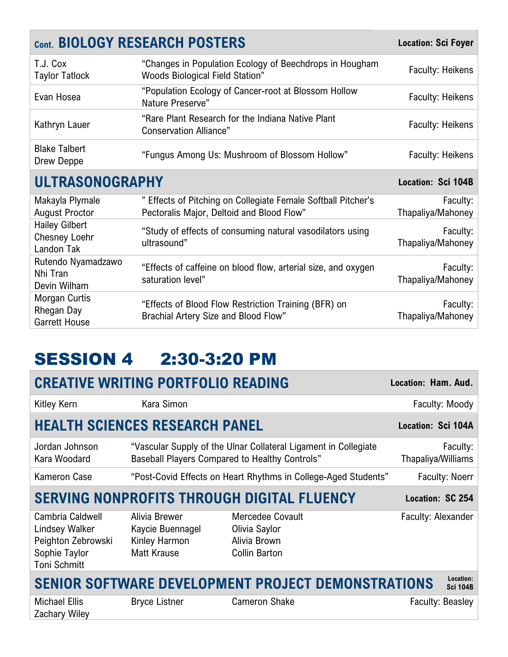<span id="page-6-0"></span>

|                                                             | <b>Cont. BIOLOGY RESEARCH POSTERS</b>                                                                      | <b>Location: Sci Foyer</b>    |
|-------------------------------------------------------------|------------------------------------------------------------------------------------------------------------|-------------------------------|
| T.J. Cox<br><b>Taylor Tatlock</b>                           | "Changes in Population Ecology of Beechdrops in Hougham<br><b>Woods Biological Field Station"</b>          | <b>Faculty: Heikens</b>       |
| Evan Hosea                                                  | "Population Ecology of Cancer-root at Blossom Hollow<br>Nature Preserve"                                   | <b>Faculty: Heikens</b>       |
| Kathryn Lauer                                               | "Rare Plant Research for the Indiana Native Plant<br><b>Conservation Alliance"</b>                         | <b>Faculty: Heikens</b>       |
| <b>Blake Talbert</b><br>Drew Deppe                          | "Fungus Among Us: Mushroom of Blossom Hollow"                                                              | <b>Faculty: Heikens</b>       |
| <b>ULTRASONOGRAPHY</b>                                      | Location: Sci 104B                                                                                         |                               |
| Makayla Plymale<br><b>August Proctor</b>                    | " Effects of Pitching on Collegiate Female Softball Pitcher's<br>Pectoralis Major, Deltoid and Blood Flow" | Faculty:<br>Thapaliya/Mahoney |
| <b>Hailey Gilbert</b><br><b>Chesney Loehr</b><br>Landon Tak | "Study of effects of consuming natural vasodilators using<br>ultrasound"                                   | Faculty:<br>Thapaliya/Mahoney |
| Rutendo Nyamadzawo<br>Nhi Tran<br>Devin Wilham              | "Effects of caffeine on blood flow, arterial size, and oxygen<br>saturation level"                         | Faculty:<br>Thapaliya/Mahoney |
| Morgan Curtis<br>Rhegan Day<br><b>Garrett House</b>         | "Effects of Blood Flow Restriction Training (BFR) on<br>Brachial Artery Size and Blood Flow"               | Faculty:<br>Thapaliya/Mahoney |

# SESSION 4 2:30-3:20 PM

|                                                                                                  | <b>CREATIVE WRITING PORTFOLIO READING</b>                         |                                                                           | Location: Ham. Aud.            |
|--------------------------------------------------------------------------------------------------|-------------------------------------------------------------------|---------------------------------------------------------------------------|--------------------------------|
| Kitley Kern                                                                                      | Kara Simon                                                        |                                                                           | Faculty: Moody                 |
|                                                                                                  | <b>HEALTH SCIENCES RESEARCH PANEL</b>                             |                                                                           | Location: Sci 104A             |
| Jordan Johnson<br>Kara Woodard                                                                   | <b>Baseball Players Compared to Healthy Controls"</b>             | "Vascular Supply of the Ulnar Collateral Ligament in Collegiate           | Faculty:<br>Thapaliya/Williams |
| Kameron Case                                                                                     |                                                                   | "Post-Covid Effects on Heart Rhythms in College-Aged Students"            | <b>Faculty: Noerr</b>          |
|                                                                                                  |                                                                   | <b>SERVING NONPROFITS THROUGH DIGITAL FLUENCY</b>                         | Location: SC 254               |
| Cambria Caldwell<br>Lindsey Walker<br>Peighton Zebrowski<br>Sophie Taylor<br><b>Toni Schmitt</b> | Alivia Brewer<br>Kaycie Buennagel<br>Kinley Harmon<br>Matt Krause | Mercedee Covault<br>Olivia Saylor<br>Alivia Brown<br><b>Collin Barton</b> | Faculty: Alexander             |
|                                                                                                  |                                                                   | <b>SENIOR SOFTWARE DEVELOPMENT PROJECT DEMONSTRATIONS</b>                 | Location:<br><b>Sci 104B</b>   |
| <b>Michael Ellis</b><br>Zachary Wiley                                                            | <b>Bryce Listner</b>                                              | <b>Cameron Shake</b>                                                      | Faculty: Beasley               |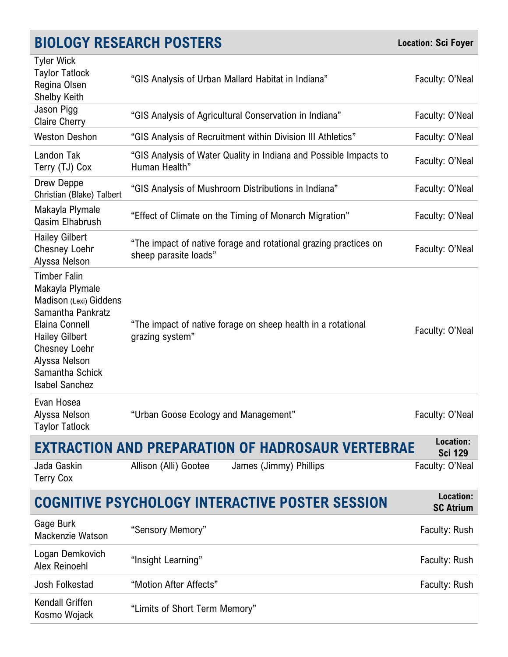|                                                                                                                                                                                                                       | <b>BIOLOGY RESEARCH POSTERS</b>                                                           | <b>Location: Sci Foyer</b>    |
|-----------------------------------------------------------------------------------------------------------------------------------------------------------------------------------------------------------------------|-------------------------------------------------------------------------------------------|-------------------------------|
| <b>Tyler Wick</b><br><b>Taylor Tatlock</b><br>Regina Olsen<br><b>Shelby Keith</b>                                                                                                                                     | "GIS Analysis of Urban Mallard Habitat in Indiana"                                        | Faculty: O'Neal               |
| Jason Pigg<br><b>Claire Cherry</b>                                                                                                                                                                                    | "GIS Analysis of Agricultural Conservation in Indiana"                                    | Faculty: O'Neal               |
| <b>Weston Deshon</b>                                                                                                                                                                                                  | "GIS Analysis of Recruitment within Division III Athletics"                               | Faculty: O'Neal               |
| Landon Tak<br>Terry (TJ) Cox                                                                                                                                                                                          | "GIS Analysis of Water Quality in Indiana and Possible Impacts to<br>Human Health"        | Faculty: O'Neal               |
| Drew Deppe<br>Christian (Blake) Talbert                                                                                                                                                                               | "GIS Analysis of Mushroom Distributions in Indiana"                                       | Faculty: O'Neal               |
| Makayla Plymale<br>Qasim Elhabrush                                                                                                                                                                                    | "Effect of Climate on the Timing of Monarch Migration"                                    | Faculty: O'Neal               |
| <b>Hailey Gilbert</b><br><b>Chesney Loehr</b><br>Alyssa Nelson                                                                                                                                                        | "The impact of native forage and rotational grazing practices on<br>sheep parasite loads" | Faculty: O'Neal               |
| <b>Timber Falin</b><br>Makayla Plymale<br>Madison (Lexi) Giddens<br>Samantha Pankratz<br>Elaina Connell<br><b>Hailey Gilbert</b><br><b>Chesney Loehr</b><br>Alyssa Nelson<br>Samantha Schick<br><b>Isabel Sanchez</b> | "The impact of native forage on sheep health in a rotational<br>grazing system"           | Faculty: O'Neal               |
| Evan Hosea<br>Alyssa Nelson<br><b>Taylor Tatlock</b>                                                                                                                                                                  | "Urban Goose Ecology and Management"                                                      | Faculty: O'Neal               |
|                                                                                                                                                                                                                       | <b>EXTRACTION AND PREPARATION OF HADROSAUR VERTEBRAE</b>                                  | Location:<br><b>Sci 129</b>   |
| Jada Gaskin<br><b>Terry Cox</b>                                                                                                                                                                                       | Allison (Alli) Gootee<br>James (Jimmy) Phillips                                           | Faculty: O'Neal               |
|                                                                                                                                                                                                                       | <b>COGNITIVE PSYCHOLOGY INTERACTIVE POSTER SESSION</b>                                    | Location:<br><b>SC Atrium</b> |
| Gage Burk<br>Mackenzie Watson                                                                                                                                                                                         | "Sensory Memory"                                                                          | Faculty: Rush                 |
| Logan Demkovich<br>Alex Reinoehl                                                                                                                                                                                      | "Insight Learning"                                                                        | Faculty: Rush                 |
| Josh Folkestad                                                                                                                                                                                                        | "Motion After Affects"                                                                    | Faculty: Rush                 |
| <b>Kendall Griffen</b><br>Kosmo Wojack                                                                                                                                                                                | "Limits of Short Term Memory"                                                             |                               |
|                                                                                                                                                                                                                       |                                                                                           |                               |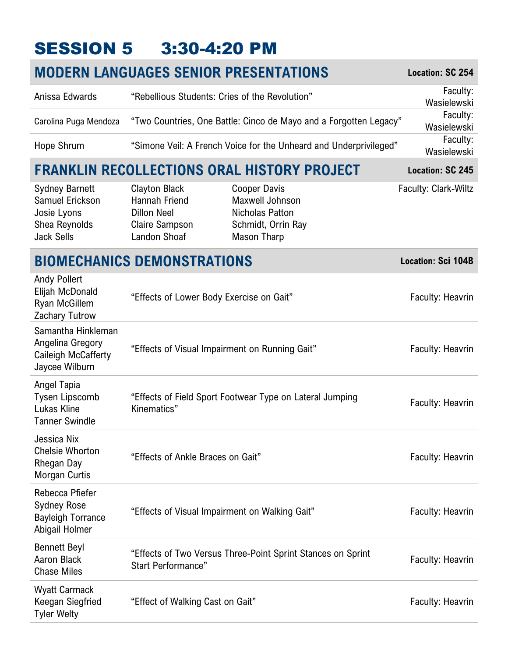# <span id="page-8-0"></span>SESSION 5 3:30-4:20 PM

|                                                                                               | <b>MODERN LANGUAGES SENIOR PRESENTATIONS</b>                                                         |                                                                                                       | Location: SC 254            |
|-----------------------------------------------------------------------------------------------|------------------------------------------------------------------------------------------------------|-------------------------------------------------------------------------------------------------------|-----------------------------|
| Anissa Edwards                                                                                | "Rebellious Students: Cries of the Revolution"                                                       |                                                                                                       | Faculty:<br>Wasielewski     |
| Carolina Puga Mendoza                                                                         |                                                                                                      | "Two Countries, One Battle: Cinco de Mayo and a Forgotten Legacy"                                     | Faculty:<br>Wasielewski     |
| Hope Shrum                                                                                    |                                                                                                      | "Simone Veil: A French Voice for the Unheard and Underprivileged"                                     | Faculty:<br>Wasielewski     |
|                                                                                               |                                                                                                      | FRANKLIN RECOLLECTIONS ORAL HISTORY PROJECT                                                           | Location: SC 245            |
| <b>Sydney Barnett</b><br>Samuel Erickson<br>Josie Lyons<br>Shea Reynolds<br><b>Jack Sells</b> | <b>Clayton Black</b><br>Hannah Friend<br><b>Dillon Neel</b><br><b>Claire Sampson</b><br>Landon Shoaf | <b>Cooper Davis</b><br>Maxwell Johnson<br><b>Nicholas Patton</b><br>Schmidt, Orrin Ray<br>Mason Tharp | <b>Faculty: Clark-Wiltz</b> |
|                                                                                               | <b>BIOMECHANICS DEMONSTRATIONS</b>                                                                   |                                                                                                       | <b>Location: Sci 104B</b>   |
| <b>Andy Pollert</b><br>Elijah McDonald<br>Ryan McGillem<br>Zachary Tutrow                     | "Effects of Lower Body Exercise on Gait"                                                             |                                                                                                       | Faculty: Heavrin            |
| Samantha Hinkleman<br>Angelina Gregory<br>Caileigh McCafferty<br>Jaycee Wilburn               | "Effects of Visual Impairment on Running Gait"                                                       |                                                                                                       | <b>Faculty: Heavrin</b>     |
| Angel Tapia<br><b>Tysen Lipscomb</b><br>Lukas Kline<br><b>Tanner Swindle</b>                  | Kinematics"                                                                                          | "Effects of Field Sport Footwear Type on Lateral Jumping                                              | <b>Faculty: Heavrin</b>     |
| Jessica Nix<br><b>Chelsie Whorton</b><br>Rhegan Day<br>Morgan Curtis                          | "Effects of Ankle Braces on Gait"                                                                    |                                                                                                       | Faculty: Heavrin            |
| Rebecca Pfiefer<br><b>Sydney Rose</b><br><b>Bayleigh Torrance</b><br>Abigail Holmer           | "Effects of Visual Impairment on Walking Gait"                                                       |                                                                                                       | Faculty: Heavrin            |
| <b>Bennett Beyl</b><br>Aaron Black<br><b>Chase Miles</b>                                      | <b>Start Performance"</b>                                                                            | "Effects of Two Versus Three-Point Sprint Stances on Sprint                                           | <b>Faculty: Heavrin</b>     |
| <b>Wyatt Carmack</b><br>Keegan Siegfried<br><b>Tyler Welty</b>                                | "Effect of Walking Cast on Gait"                                                                     |                                                                                                       | Faculty: Heavrin            |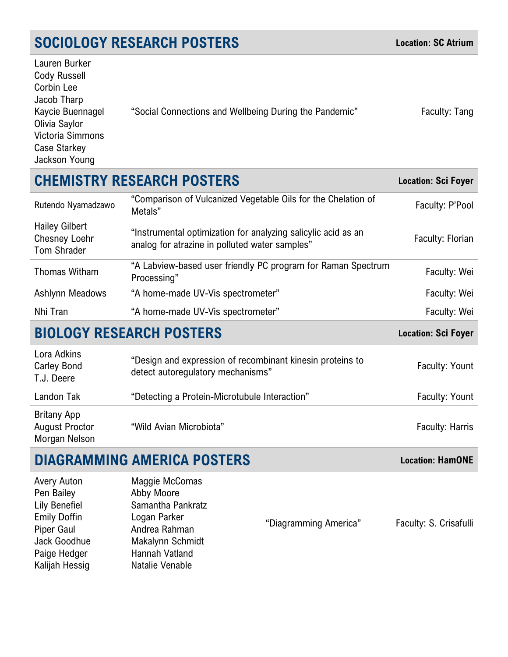# **SOCIOLOGY RESEARCH POSTERS Location: SC Atrium**

| Lauren Burker    |                                                        |               |
|------------------|--------------------------------------------------------|---------------|
| Cody Russell     |                                                        |               |
| Corbin Lee       |                                                        |               |
| Jacob Tharp      |                                                        |               |
| Kaycie Buennagel | "Social Connections and Wellbeing During the Pandemic" | Faculty: Tang |
| Olivia Saylor    |                                                        |               |
| Victoria Simmons |                                                        |               |
| Case Starkey     |                                                        |               |
| Jackson Young    |                                                        |               |

### **CHEMISTRY RESEARCH POSTERS Location: Sci Foyer**

| Rutendo Nyamadzawo                                                  | "Comparison of Vulcanized Vegetable Oils for the Chelation of<br>Metals"                                        | Faculty: P'Pool  |
|---------------------------------------------------------------------|-----------------------------------------------------------------------------------------------------------------|------------------|
| <b>Hailey Gilbert</b><br><b>Chesney Loehr</b><br><b>Tom Shrader</b> | "Instrumental optimization for analyzing salicylic acid as an<br>analog for atrazine in polluted water samples" | Faculty: Florian |
| Thomas Witham                                                       | "A Labview-based user friendly PC program for Raman Spectrum<br>Processing"                                     | Faculty: Wei     |
| <b>Ashlynn Meadows</b>                                              | "A home-made UV-Vis spectrometer"                                                                               | Faculty: Wei     |
| Nhi Tran                                                            | "A home-made UV-Vis spectrometer"                                                                               | Faculty: Wei     |

### **BIOLOGY RESEARCH POSTERS Location: Sci Foyer**

| Lora Adkins<br><b>Carley Bond</b><br>T.J. Deere              | "Design and expression of recombinant kinesin proteins to<br>detect autoregulatory mechanisms" | Faculty: Yount  |
|--------------------------------------------------------------|------------------------------------------------------------------------------------------------|-----------------|
| Landon Tak                                                   | "Detecting a Protein-Microtubule Interaction"                                                  | Faculty: Yount  |
| <b>Britany App</b><br><b>August Proctor</b><br>Morgan Nelson | "Wild Avian Microbiota"                                                                        | Faculty: Harris |

# **DIAGRAMMING AMERICA POSTERS Location: HamONE**